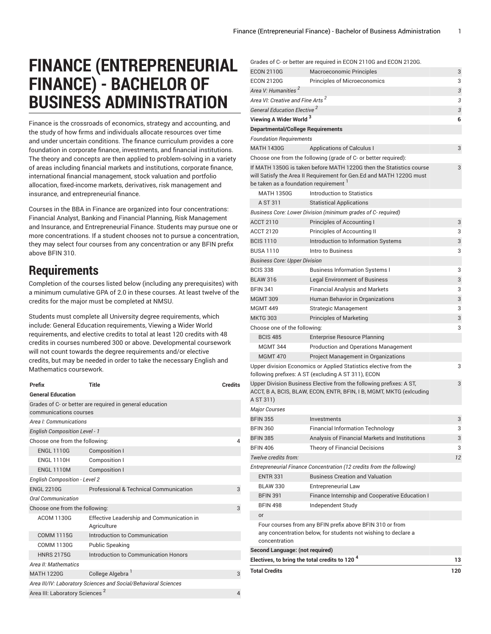## **FINANCE (ENTREPRENEURIAL FINANCE) - BACHELOR OF BUSINESS ADMINISTRATION**

Finance is the crossroads of economics, strategy and accounting, and the study of how firms and individuals allocate resources over time and under uncertain conditions. The finance curriculum provides a core foundation in corporate finance, investments, and financial institutions. The theory and concepts are then applied to problem-solving in a variety of areas including financial markets and institutions, corporate finance, international financial management, stock valuation and portfolio allocation, fixed-income markets, derivatives, risk management and insurance, and entrepreneurial finance.

Courses in the BBA in Finance are organized into four concentrations: Financial Analyst, Banking and Financial Planning, Risk Management and Insurance, and Entrepreneurial Finance. Students may pursue one or more concentrations. If a student chooses not to pursue a concentration, they may select four courses from any concentration or any BFIN prefix above BFIN 310.

## **Requirements**

Completion of the courses listed below (including any prerequisites) with a minimum cumulative GPA of 2.0 in these courses. At least twelve of the credits for the major must be completed at NMSU.

Students must complete all University degree requirements, which include: General Education requirements, Viewing a Wider World requirements, and elective credits to total at least 120 credits with 48 credits in courses numbered 300 or above. Developmental coursework will not count towards the degree requirements and/or elective credits, but may be needed in order to take the necessary English and Mathematics coursework.

| Prefix                                                          | <b>Title</b>                                             | <b>Credits</b> |  |
|-----------------------------------------------------------------|----------------------------------------------------------|----------------|--|
| <b>General Education</b>                                        |                                                          |                |  |
| Grades of C- or better are required in general education        |                                                          |                |  |
| communications courses                                          |                                                          |                |  |
| Area <i>I: Communications</i>                                   |                                                          |                |  |
| <b>English Composition Level - 1</b>                            |                                                          |                |  |
| Choose one from the following:                                  |                                                          |                |  |
| <b>ENGL 1110G</b>                                               | Composition I                                            |                |  |
| <b>ENGL 1110H</b>                                               | Composition I                                            |                |  |
| <b>ENGL 1110M</b>                                               | Composition I                                            |                |  |
| <b>English Composition - Level 2</b>                            |                                                          |                |  |
| <b>ENGL 2210G</b>                                               | Professional & Technical Communication                   | 3              |  |
| <b>Oral Communication</b>                                       |                                                          |                |  |
| Choose one from the following:                                  | 3                                                        |                |  |
| <b>ACOM 1130G</b>                                               | Effective Leadership and Communication in<br>Agriculture |                |  |
| <b>COMM 1115G</b>                                               | Introduction to Communication                            |                |  |
| <b>COMM 1130G</b>                                               | <b>Public Speaking</b>                                   |                |  |
| <b>HNRS 2175G</b>                                               | Introduction to Communication Honors                     |                |  |
| Area II: Mathematics                                            |                                                          |                |  |
| <b>MATH 1220G</b>                                               | College Algebra <sup>1</sup>                             | 3              |  |
| Area III/IV: Laboratory Sciences and Social/Behavioral Sciences |                                                          |                |  |
| Area III: Laboratory Sciences <sup>2</sup>                      |                                                          |                |  |
|                                                                 |                                                          |                |  |

Grades of C- or better are required in ECON 2110G and ECON 2120G.

| Electives, to bring the total credits to 120 $^{\text{4}}$ |                                                                                                                                                                                                               | 13         |
|------------------------------------------------------------|---------------------------------------------------------------------------------------------------------------------------------------------------------------------------------------------------------------|------------|
| concentration<br>Second Language: (not required)           |                                                                                                                                                                                                               |            |
|                                                            | Four courses from any BFIN prefix above BFIN 310 or from<br>any concentration below, for students not wishing to declare a                                                                                    |            |
| or                                                         |                                                                                                                                                                                                               |            |
| <b>BFIN 498</b>                                            | Independent Study                                                                                                                                                                                             |            |
| <b>BFIN 391</b>                                            | Finance Internship and Cooperative Education I                                                                                                                                                                |            |
| <b>BLAW 330</b>                                            | <b>Entrepreneurial Law</b>                                                                                                                                                                                    |            |
| <b>ENTR 331</b>                                            | <b>Business Creation and Valuation</b>                                                                                                                                                                        |            |
|                                                            | Entrepreneurial Finance Concentration (12 credits from the following)                                                                                                                                         |            |
| Twelve credits from:                                       |                                                                                                                                                                                                               | 12         |
| <b>BFIN 406</b>                                            | <b>Theory of Financial Decisions</b>                                                                                                                                                                          | 3          |
| <b>BFIN 385</b>                                            | Analysis of Financial Markets and Institutions                                                                                                                                                                | 3          |
| <b>BFIN 360</b>                                            | <b>Financial Information Technology</b>                                                                                                                                                                       | 3          |
| <b>BFIN 355</b>                                            | Investments                                                                                                                                                                                                   | 3          |
| A ST 311)<br><b>Major Courses</b>                          |                                                                                                                                                                                                               |            |
|                                                            | following prefixes: A ST (excluding A ST 311), ECON<br>Upper Division Business Elective from the following prefixes: A ST,<br>ACCT, B A, BCIS, BLAW, ECON, ENTR, BFIN, I B, MGMT, MKTG (exlcuding             | 3          |
| <b>MGMT 470</b>                                            | Project Management in Organizations<br>Upper division Economics or Applied Statistics elective from the                                                                                                       | 3          |
| <b>MGMT 344</b>                                            | <b>Production and Operations Management</b>                                                                                                                                                                   |            |
| <b>BCIS 485</b>                                            | <b>Enterprise Resource Planning</b>                                                                                                                                                                           |            |
| Choose one of the following:                               |                                                                                                                                                                                                               | 3          |
| <b>MKTG 303</b>                                            | <b>Principles of Marketing</b>                                                                                                                                                                                | 3          |
| <b>MGMT 449</b>                                            | Strategic Management                                                                                                                                                                                          | 3          |
| <b>MGMT 309</b>                                            | Human Behavior in Organizations                                                                                                                                                                               | 3          |
| <b>BFIN 341</b>                                            | <b>Financial Analysis and Markets</b>                                                                                                                                                                         | 3          |
| <b>BLAW 316</b>                                            | <b>Legal Environment of Business</b>                                                                                                                                                                          | 3          |
| <b>BCIS 338</b>                                            | <b>Business Information Systems I</b>                                                                                                                                                                         | 3          |
| Business Core: Upper Division                              |                                                                                                                                                                                                               |            |
| BUSA 1110                                                  | Intro to Business                                                                                                                                                                                             | 3          |
| <b>BCIS 1110</b>                                           | Introduction to Information Systems                                                                                                                                                                           | 3          |
| ACCT 2120                                                  | Principles of Accounting II                                                                                                                                                                                   | 3          |
| ACCT 2110                                                  | Principles of Accounting I                                                                                                                                                                                    | 3          |
|                                                            | Business Core: Lower Division (minimum grades of C- required)                                                                                                                                                 |            |
| A ST 311                                                   | <b>Statistical Applications</b>                                                                                                                                                                               |            |
| <b>MATH 1350G</b>                                          | Introduction to Statistics                                                                                                                                                                                    |            |
| be taken as a foundation requirement $^\mathsf{I}$         | Choose one from the following (grade of C- or better required):<br>If MATH 1350G is taken before MATH 1220G then the Statistics course<br>will Satisfy the Area II Requirement for Gen.Ed and MATH 1220G must | 3          |
|                                                            | <b>Applications of Calculus I</b>                                                                                                                                                                             | 3          |
| <b>Foundation Requirements</b><br><b>MATH 1430G</b>        |                                                                                                                                                                                                               |            |
| Departmental/College Requirements                          |                                                                                                                                                                                                               |            |
| Viewing A Wider World <sup>3</sup>                         |                                                                                                                                                                                                               | 6          |
| General Education Elective <sup>2</sup>                    |                                                                                                                                                                                                               | $\sqrt{3}$ |
| Area VI: Creative and Fine Arts $^2$                       |                                                                                                                                                                                                               | 3          |
| Area V: Humanities <sup>2</sup>                            |                                                                                                                                                                                                               | 3          |
| <b>ECON 2120G</b>                                          | Principles of Microeconomics                                                                                                                                                                                  | 3          |
| ECON 2110G                                                 | Macroeconomic Principles                                                                                                                                                                                      | 3          |
|                                                            |                                                                                                                                                                                                               |            |